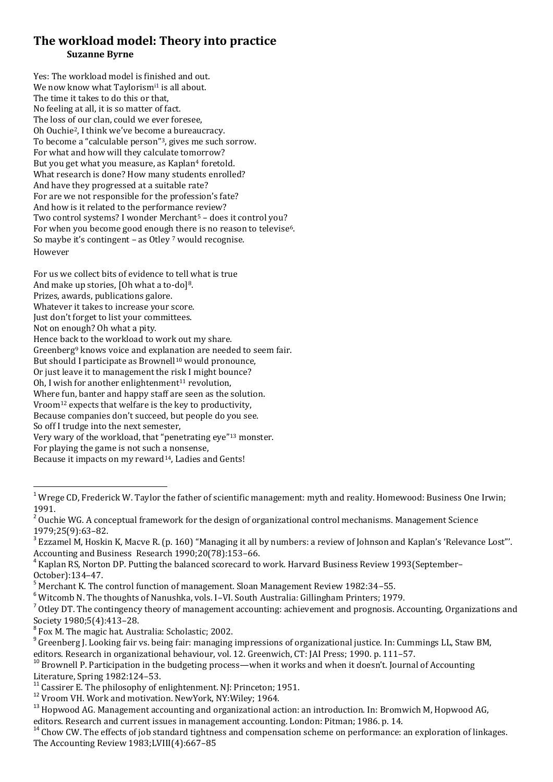## **The workload model: Theory into practice Suzanne Byrne**

Yes: The workload model is finished and out. We now know what Taylorism<sup>11</sup> is all about. The time it takes to do this or that, No feeling at all, it is so matter of fact. The loss of our clan, could we ever foresee, Oh Ouchie2, I think we've become a bureaucracy. To become a "calculable person"3, gives me such sorrow. For what and how will they calculate tomorrow? But you get what you measure, as Kaplan<sup>4</sup> foretold. What research is done? How many students enrolled? And have they progressed at a suitable rate? For are we not responsible for the profession's fate? And how is it related to the performance review? Two control systems? I wonder Merchant<sup>5</sup> - does it control you? For when you become good enough there is no reason to televise<sup>6</sup>. So maybe it's contingent – as Otley <sup>7</sup> would recognise. However

For us we collect bits of evidence to tell what is true

And make up stories, [Oh what a to-do]<sup>8</sup>. Prizes, awards, publications galore.

Whatever it takes to increase your score.

Just don't forget to list your committees.

Not on enough? Oh what a pity.

Hence back to the workload to work out my share.

Greenberg<sup>9</sup> knows voice and explanation are needed to seem fair.

But should I participate as Brownell<sup>10</sup> would pronounce,

Or just leave it to management the risk I might bounce?

Oh, I wish for another enlightenment<sup>11</sup> revolution,

Where fun, banter and happy staff are seen as the solution.

Vroom<sup>12</sup> expects that welfare is the key to productivity, Because companies don't succeed, but people do you see.

So off I trudge into the next semester,

1

Very wary of the workload, that "penetrating eye"<sup>13</sup> monster.

For playing the game is not such a nonsense,

Because it impacts on my reward<sup>14</sup>, Ladies and Gents!

<sup>5</sup> Merchant K. The control function of management. Sloan Management Review 1982:34–55.

<sup>6</sup> Witcomb N. The thoughts of Nanushka, vols. I–VI. South Australia: Gillingham Printers; 1979.

 $^7$  Otley DT. The contingency theory of management accounting: achievement and prognosis. Accounting, Organizations and

Society 1980;5(4):413–28. 8 Fox M. The magic hat. Australia: Scholastic; 2002.

<sup>9</sup> Greenberg J. Looking fair vs. being fair: managing impressions of organizational justice. In: Cummings LL, Staw BM,

editors. Research in organizational behaviour, vol. 12. Greenwich, CT: JAI Press; 1990. p. 111–57.

 $10$  Brownell P. Participation in the budgeting process—when it works and when it doesn't. Journal of Accounting Literature, Spring 1982:124–53.

 $11$  Cassirer E. The philosophy of enlightenment. NJ: Princeton; 1951.

<sup>14</sup> Chow CW. The effects of job standard tightness and compensation scheme on performance: an exploration of linkages. The Accounting Review 1983;LVIII(4):667–85

 $1$  Wrege CD, Frederick W. Taylor the father of scientific management: myth and reality. Homewood: Business One Irwin; 1991.

 $2$  Ouchie WG. A conceptual framework for the design of organizational control mechanisms. Management Science 1979;25(9):63–82.

 $3$  Ezzamel M, Hoskin K, Macve R. (p. 160) "Managing it all by numbers: a review of Johnson and Kaplan's 'Relevance Lost'". Accounting and Business Research 1990;20(78):153–66.

<sup>&</sup>lt;sup>4</sup> Kaplan RS, Norton DP. Putting the balanced scorecard to work. Harvard Business Review 1993(September– October):134–47.

<sup>12</sup> Vroom VH. Work and motivation. NewYork, NY:Wiley; 1964.

<sup>&</sup>lt;sup>13</sup> Hopwood AG. Management accounting and organizational action: an introduction. In: Bromwich M, Hopwood AG, editors. Research and current issues in management accounting. London: Pitman; 1986. p. 14.